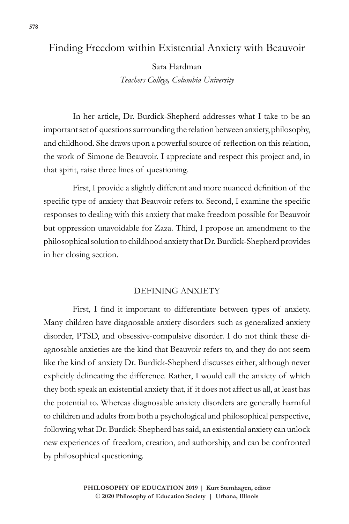# Finding Freedom within Existential Anxiety with Beauvoir

Sara Hardman *Teachers College, Columbia University*

In her article, Dr. Burdick-Shepherd addresses what I take to be an important set of questions surrounding the relation between anxiety, philosophy, and childhood. She draws upon a powerful source of reflection on this relation, the work of Simone de Beauvoir. I appreciate and respect this project and, in that spirit, raise three lines of questioning.

First, I provide a slightly different and more nuanced definition of the specific type of anxiety that Beauvoir refers to. Second, I examine the specific responses to dealing with this anxiety that make freedom possible for Beauvoir but oppression unavoidable for Zaza. Third, I propose an amendment to the philosophical solution to childhood anxiety that Dr. Burdick-Shepherd provides in her closing section.

## DEFINING ANXIETY

First, I find it important to differentiate between types of anxiety. Many children have diagnosable anxiety disorders such as generalized anxiety disorder, PTSD, and obsessive-compulsive disorder. I do not think these diagnosable anxieties are the kind that Beauvoir refers to, and they do not seem like the kind of anxiety Dr. Burdick-Shepherd discusses either, although never explicitly delineating the difference. Rather, I would call the anxiety of which they both speak an existential anxiety that, if it does not affect us all, at least has the potential to. Whereas diagnosable anxiety disorders are generally harmful to children and adults from both a psychological and philosophical perspective, following what Dr. Burdick-Shepherd has said, an existential anxiety can unlock new experiences of freedom, creation, and authorship, and can be confronted by philosophical questioning.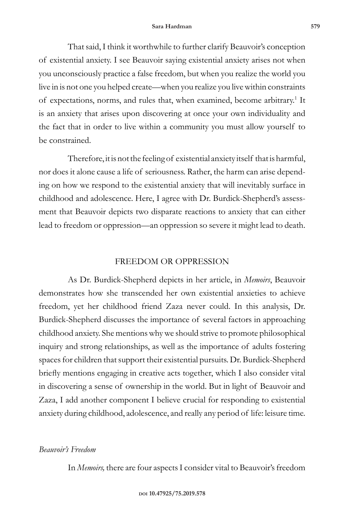That said, I think it worthwhile to further clarify Beauvoir's conception of existential anxiety. I see Beauvoir saying existential anxiety arises not when you unconsciously practice a false freedom, but when you realize the world you live in is not one you helped create—when you realize you live within constraints of expectations, norms, and rules that, when examined, become arbitrary.<sup>1</sup> It is an anxiety that arises upon discovering at once your own individuality and the fact that in order to live within a community you must allow yourself to be constrained.

Therefore, it is not the feeling of existential anxiety itself that is harmful, nor does it alone cause a life of seriousness. Rather, the harm can arise depending on how we respond to the existential anxiety that will inevitably surface in childhood and adolescence. Here, I agree with Dr. Burdick-Shepherd's assessment that Beauvoir depicts two disparate reactions to anxiety that can either lead to freedom or oppression—an oppression so severe it might lead to death.

## FREEDOM OR OPPRESSION

As Dr. Burdick-Shepherd depicts in her article, in *Memoirs*, Beauvoir demonstrates how she transcended her own existential anxieties to achieve freedom, yet her childhood friend Zaza never could. In this analysis, Dr. Burdick-Shepherd discusses the importance of several factors in approaching childhood anxiety. She mentions why we should strive to promote philosophical inquiry and strong relationships, as well as the importance of adults fostering spaces for children that support their existential pursuits. Dr. Burdick-Shepherd briefly mentions engaging in creative acts together, which I also consider vital in discovering a sense of ownership in the world. But in light of Beauvoir and Zaza, I add another component I believe crucial for responding to existential anxiety during childhood, adolescence, and really any period of life: leisure time.

## *Beauvoir's Freedom*

In *Memoirs,* there are four aspects I consider vital to Beauvoir's freedom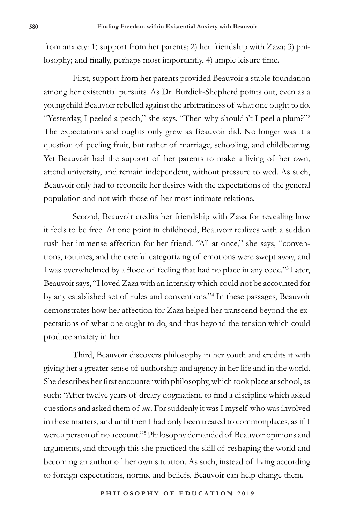from anxiety: 1) support from her parents; 2) her friendship with Zaza; 3) philosophy; and finally, perhaps most importantly, 4) ample leisure time.

First, support from her parents provided Beauvoir a stable foundation among her existential pursuits. As Dr. Burdick-Shepherd points out, even as a young child Beauvoir rebelled against the arbitrariness of what one ought to do. "Yesterday, I peeled a peach," she says. "Then why shouldn't I peel a plum?"<sup>2</sup> The expectations and oughts only grew as Beauvoir did. No longer was it a question of peeling fruit, but rather of marriage, schooling, and childbearing. Yet Beauvoir had the support of her parents to make a living of her own, attend university, and remain independent, without pressure to wed. As such, Beauvoir only had to reconcile her desires with the expectations of the general population and not with those of her most intimate relations.

Second, Beauvoir credits her friendship with Zaza for revealing how it feels to be free. At one point in childhood, Beauvoir realizes with a sudden rush her immense affection for her friend. "All at once," she says, "conventions, routines, and the careful categorizing of emotions were swept away, and I was overwhelmed by a flood of feeling that had no place in any code."<sup>3</sup> Later, Beauvoir says, "I loved Zaza with an intensity which could not be accounted for by any established set of rules and conventions."<sup>4</sup> In these passages, Beauvoir demonstrates how her affection for Zaza helped her transcend beyond the expectations of what one ought to do, and thus beyond the tension which could produce anxiety in her.

Third, Beauvoir discovers philosophy in her youth and credits it with giving her a greater sense of authorship and agency in her life and in the world. She describes her first encounter with philosophy, which took place at school, as such: "After twelve years of dreary dogmatism, to find a discipline which asked questions and asked them of *me*. For suddenly it was I myself who was involved in these matters, and until then I had only been treated to commonplaces, as if I were a person of no account."<sup>5</sup> Philosophy demanded of Beauvoir opinions and arguments, and through this she practiced the skill of reshaping the world and becoming an author of her own situation. As such, instead of living according to foreign expectations, norms, and beliefs, Beauvoir can help change them.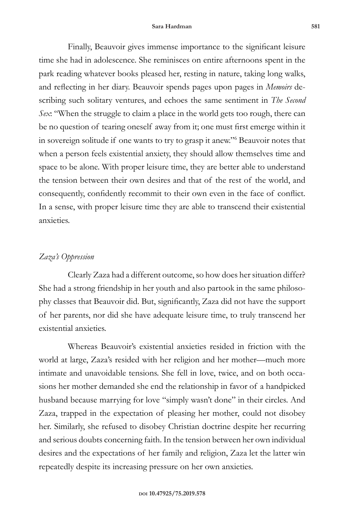Finally, Beauvoir gives immense importance to the significant leisure time she had in adolescence. She reminisces on entire afternoons spent in the park reading whatever books pleased her, resting in nature, taking long walks, and reflecting in her diary. Beauvoir spends pages upon pages in *Memoirs* describing such solitary ventures, and echoes the same sentiment in *The Second Sex*: "When the struggle to claim a place in the world gets too rough, there can be no question of tearing oneself away from it; one must first emerge within it in sovereign solitude if one wants to try to grasp it anew."<sup>6</sup> Beauvoir notes that when a person feels existential anxiety, they should allow themselves time and space to be alone. With proper leisure time, they are better able to understand the tension between their own desires and that of the rest of the world, and consequently, confidently recommit to their own even in the face of conflict. In a sense, with proper leisure time they are able to transcend their existential anxieties.

#### *Zaza's Oppression*

Clearly Zaza had a different outcome, so how does her situation differ? She had a strong friendship in her youth and also partook in the same philosophy classes that Beauvoir did. But, significantly, Zaza did not have the support of her parents, nor did she have adequate leisure time, to truly transcend her existential anxieties.

Whereas Beauvoir's existential anxieties resided in friction with the world at large, Zaza's resided with her religion and her mother—much more intimate and unavoidable tensions. She fell in love, twice, and on both occasions her mother demanded she end the relationship in favor of a handpicked husband because marrying for love "simply wasn't done" in their circles. And Zaza, trapped in the expectation of pleasing her mother, could not disobey her. Similarly, she refused to disobey Christian doctrine despite her recurring and serious doubts concerning faith. In the tension between her own individual desires and the expectations of her family and religion, Zaza let the latter win repeatedly despite its increasing pressure on her own anxieties.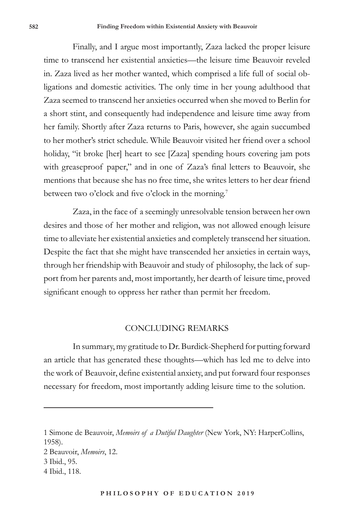Finally, and I argue most importantly, Zaza lacked the proper leisure time to transcend her existential anxieties—the leisure time Beauvoir reveled in. Zaza lived as her mother wanted, which comprised a life full of social obligations and domestic activities. The only time in her young adulthood that Zaza seemed to transcend her anxieties occurred when she moved to Berlin for a short stint, and consequently had independence and leisure time away from her family. Shortly after Zaza returns to Paris, however, she again succumbed to her mother's strict schedule. While Beauvoir visited her friend over a school holiday, "it broke [her] heart to see [Zaza] spending hours covering jam pots with greaseproof paper," and in one of Zaza's final letters to Beauvoir, she mentions that because she has no free time, she writes letters to her dear friend between two o'clock and five o'clock in the morning.<sup>7</sup>

Zaza, in the face of a seemingly unresolvable tension between her own desires and those of her mother and religion, was not allowed enough leisure time to alleviate her existential anxieties and completely transcend her situation. Despite the fact that she might have transcended her anxieties in certain ways, through her friendship with Beauvoir and study of philosophy, the lack of support from her parents and, most importantly, her dearth of leisure time, proved significant enough to oppress her rather than permit her freedom.

#### CONCLUDING REMARKS

In summary, my gratitude to Dr. Burdick-Shepherd for putting forward an article that has generated these thoughts—which has led me to delve into the work of Beauvoir, define existential anxiety, and put forward four responses necessary for freedom, most importantly adding leisure time to the solution.

1 Simone de Beauvoir, *Memoirs of a Dutiful Daughter* (New York, NY: HarperCollins, 1958). 2 Beauvoir, *Memoirs*, 12. 3 Ibid., 95. 4 Ibid., 118.